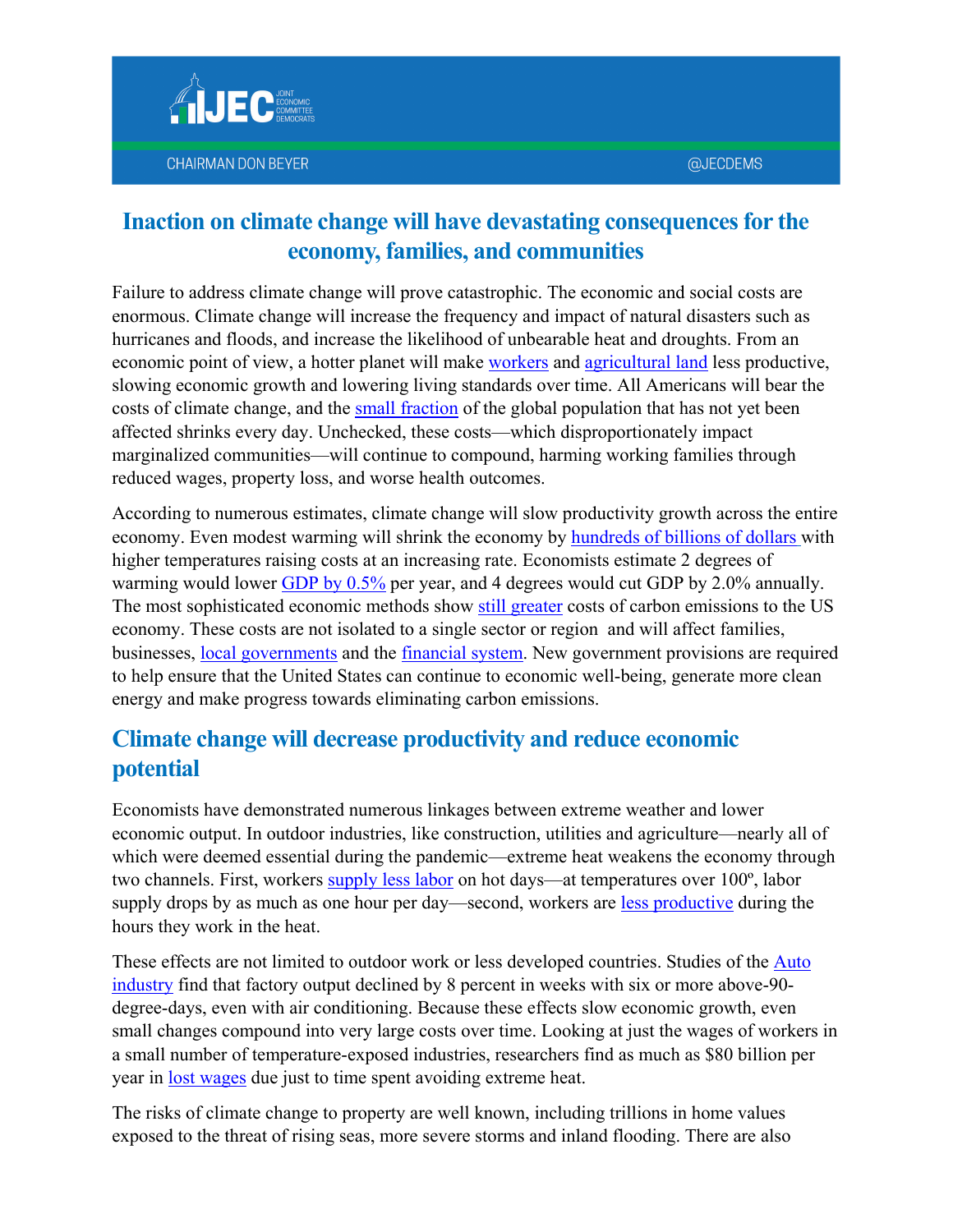Failure to address climate change will prove catastrophic. The economic and social costs are enormous. Climate change will increase the frequency and impact of natural disasters such as hurricanes and floods, and increase the likelihood of unbearable heat and droughts. From an economic point of view, a hotter planet will make [workers](https://epic.uchicago.edu/news/hot-temperatures-decrease-worker-productivity-economic-output/#:%7E:text=Heat%20did%20more%20than%20influence,as%20much%20as%205%20percent.&text=They%20found%20that%20workers%20in%20plants%20with%20climate%20control%20were%20more%20productive.) and [agricultural land](https://www.pnas.org/content/114/35/9326) less productive, slowing economic growth and lowering living standards over time. All Americans will bear the costs of climate change, and the [small fraction](https://www.washingtonpost.com/climate-environment/2021/10/11/85-percent-population-climate-impacts/) of the global population that has not yet been affected shrinks every day. Unchecked, these costs—which disproportionately impact marginalized communities—will continue to compound, harming working families through reduced wages, property loss, and worse health outcomes.

According to numerous estimates, climate change will slow productivity growth across the entire economy. Even modest warming will shrink the economy by [hundreds of billions of dollars](https://nca2018.globalchange.gov/) with higher temperatures raising costs at an increasing rate. Economists estimate 2 degrees of warming would lower [GDP by 0.5%](https://www.brookings.edu/wp-content/uploads/2019/10/Environmental-Facts_WEB.pdf) per year, and 4 degrees would cut GDP by 2.0% annually. The most sophisticated economic methods show [still greater](https://www.brookings.edu/bpea-articles/the-social-cost-of-carbon/) costs of carbon emissions to the US economy. These costs are not isolated to a single sector or region and will affect families, businesses, [local governments](https://www.spglobal.com/ratings/en/research/pdf-articles/180320-how-our-u-s-local-government-criteria-weather-climate-risk) and the [financial system.](https://www.bis.org/bcbs/publ/d518.pdf) New government provisions are required to help ensure that the United States can continue to economic well-being, generate more clean energy and make progress towards eliminating carbon emissions.

## **Climate change will decrease productivity and reduce economic potential**

Economists have demonstrated numerous linkages between extreme weather and lower economic output. In outdoor industries, like construction, utilities and agriculture—nearly all of which were deemed essential during the pandemic—extreme heat weakens the economy through two channels. First, workers [supply less labor](https://www3.nd.edu/%7Enmark/Climate/671766.pdf) on hot days—at temperatures over 100º, labor supply drops by as much as one hour per day—second, workers are [less productive](http://junjiezhang.org/files/2018_JEEM_TFP_Zhang.pdf) during the hours they work in the heat.

These effects are not limited to outdoor work or less developed countries. Studies of the Auto [industry](https://economics.mit.edu/files/9138) find that factory output declined by 8 percent in weeks with six or more above-90 degree-days, even with air conditioning. Because these effects slow economic growth, even small changes compound into very large costs over time. Looking at just the wages of workers in a small number of temperature-exposed industries, researchers find as much as \$80 billion per year in <u>lost wages</u> due just to time spent avoiding extreme heat.

The risks of climate change to property are well known, including trillions in home values exposed to the threat of rising seas, more severe storms and inland flooding. There are also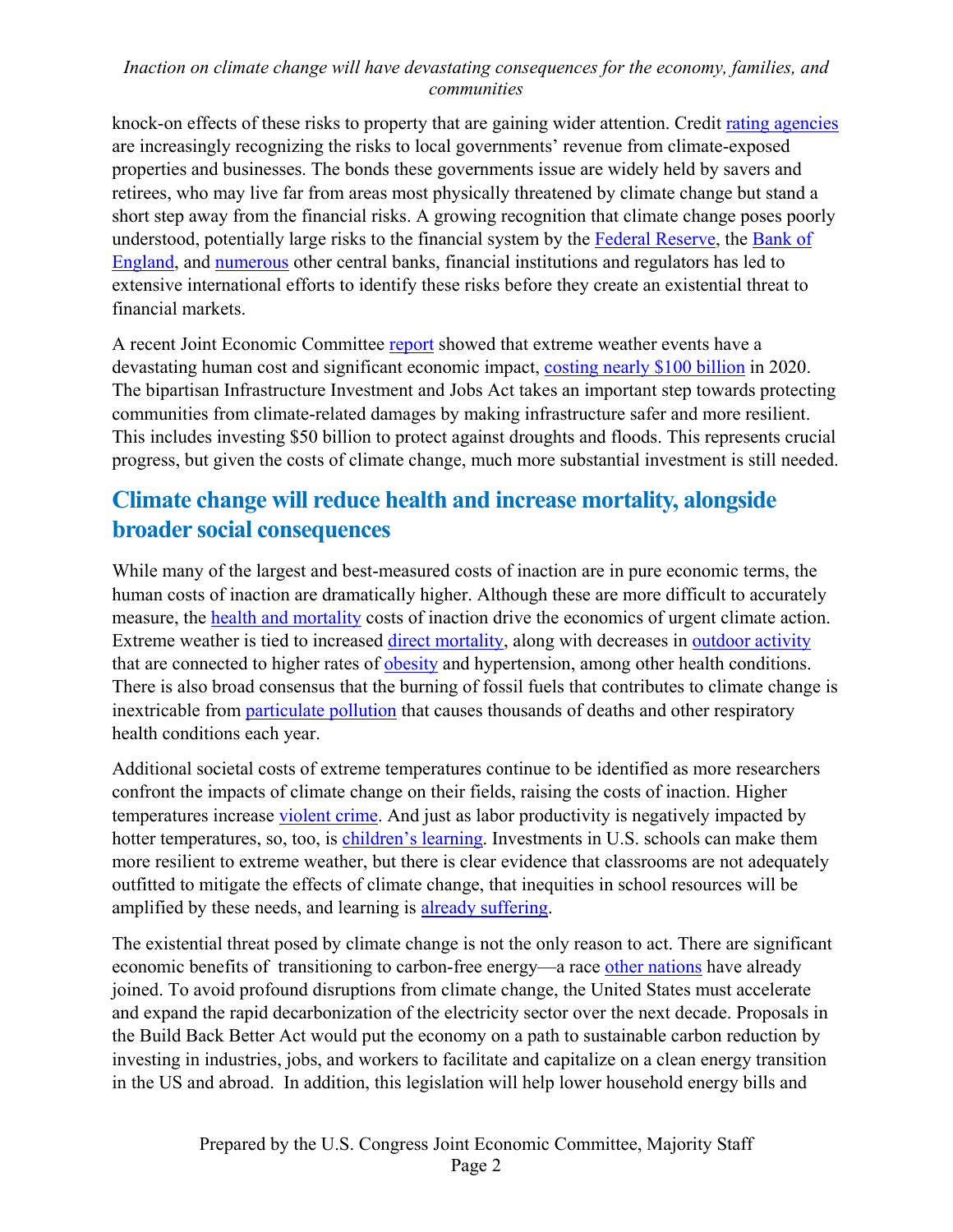knock-on effects of these risks to property that are gaining wider attention. Credit [rating agencies](https://www.brookings.edu/wp-content/uploads/2020/09/WP67_Victor-et-al.pdf) are increasingly recognizing the risks to local governments' revenue from climate-exposed properties and businesses. The bonds these governments issue are widely held by savers and retirees, who may live far from areas most physically threatened by climate change but stand a short step away from the financial risks. A growing recognition that climate change poses poorly understood, potentially large risks to the financial system by the [Federal Reserve,](https://www.bis.org/review/r191111a.htm) the Bank of [England,](https://www.bis.org/review/r151009a.pdf) and [numerous](https://www.ngfs.net/en/about-us/membership) other central banks, financial institutions and regulators has led to extensive international efforts to identify these risks before they create an existential threat to financial markets.

A recent Joint Economic Committee [report](https://www.jec.senate.gov/public/_cache/files/cd94ad1b-d53d-4f37-aeed-f2469518fd26/infrastructure-and-the-economy---final.pdf) showed that extreme weather events have a devastating human cost and significant economic impact, [costing nearly \\$100 billion](https://www.jec.senate.gov/public/_cache/files/cd94ad1b-d53d-4f37-aeed-f2469518fd26/infrastructure-and-the-economy---final.pdf) in 2020. The bipartisan Infrastructure Investment and Jobs Act takes an important step towards protecting communities from climate-related damages by making infrastructure safer and more resilient. This includes investing \$50 billion to protect against droughts and floods. This represents crucial progress, but given the costs of climate change, much more substantial investment is still needed.

## **Climate change will reduce health and increase mortality, alongside broader social consequences**

While many of the largest and best-measured costs of inaction are in pure economic terms, the human costs of inaction are dramatically higher. Although these are more difficult to accurately measure, the [health and mortality](https://www.nature.com/articles/s41467-021-24487-w) costs of inaction drive the economics of urgent climate action. Extreme weather is tied to increased [direct mortality,](https://www.theguardian.com/world/2021/jul/08/extreme-temperatures-kill-5-million-people-a-year-with-heat-related-deaths-rising-study-finds) along with decreases in [outdoor activity](https://www3.nd.edu/%7Enmark/Climate/671766.pdf) that are connected to higher rates of [obesity](https://www.ncbi.nlm.nih.gov/pmc/articles/PMC4056217/#:%7E:text=We%20have%20found%20that%20obesity,rain%20(but%20not%20snow).) and [hypertension,](https://medicalrepublic.com.au/how-extreme-weather-events-can-affect-blood-pressure/27824) among other health conditions. There is also broad consensus that the burning of fossil fuels that contributes to climate change is inextricable from [particulate pollution](https://www.epa.gov/pm-pollution/health-and-environmental-effects-particulate-matter-pm) that causes thousands of deaths and other respiratory health conditions each year.

Additional societal costs of extreme temperatures continue to be identified as more researchers confront the impacts of climate change on their fields, raising the costs of inaction. Higher temperatures increase [violent crime.](https://www.washingtonpost.com/business/2019/07/16/two-new-studies-warn-that-hotter-world-will-be-more-violent-one/) And just as labor productivity is negatively impacted by hotter temperatures, so, too, is [children's learning.](https://www.newsecuritybeat.org/2019/05/climate-change-weaken-childrens-education-tropics/) Investments in U.S. schools can make them more resilient to extreme weather, but there is clear evidence that classrooms are not adequately outfitted to mitigate the effects of climate change, that inequities in school resources will be amplified by these needs, and learning is [already suffering.](https://www.scientificamerican.com/article/rising-temperatures-undermine-academic-success-and-equity/)

The existential threat posed by climate change is not the only reason to act. There are significant economic benefits of transitioning to carbon-free energy—a race [other nations](https://www.gov.uk/government/news/uks-path-to-net-zero-set-out-in-landmark-strategy) have already joined. To avoid profound disruptions from climate change, the United States must accelerate and expand the rapid decarbonization of the electricity sector over the next decade. Proposals in the Build Back Better Act would put the economy on a path to sustainable carbon reduction by investing in industries, jobs, and workers to facilitate and capitalize on a clean energy transition in the US and abroad. In addition, this legislation will help lower household energy bills and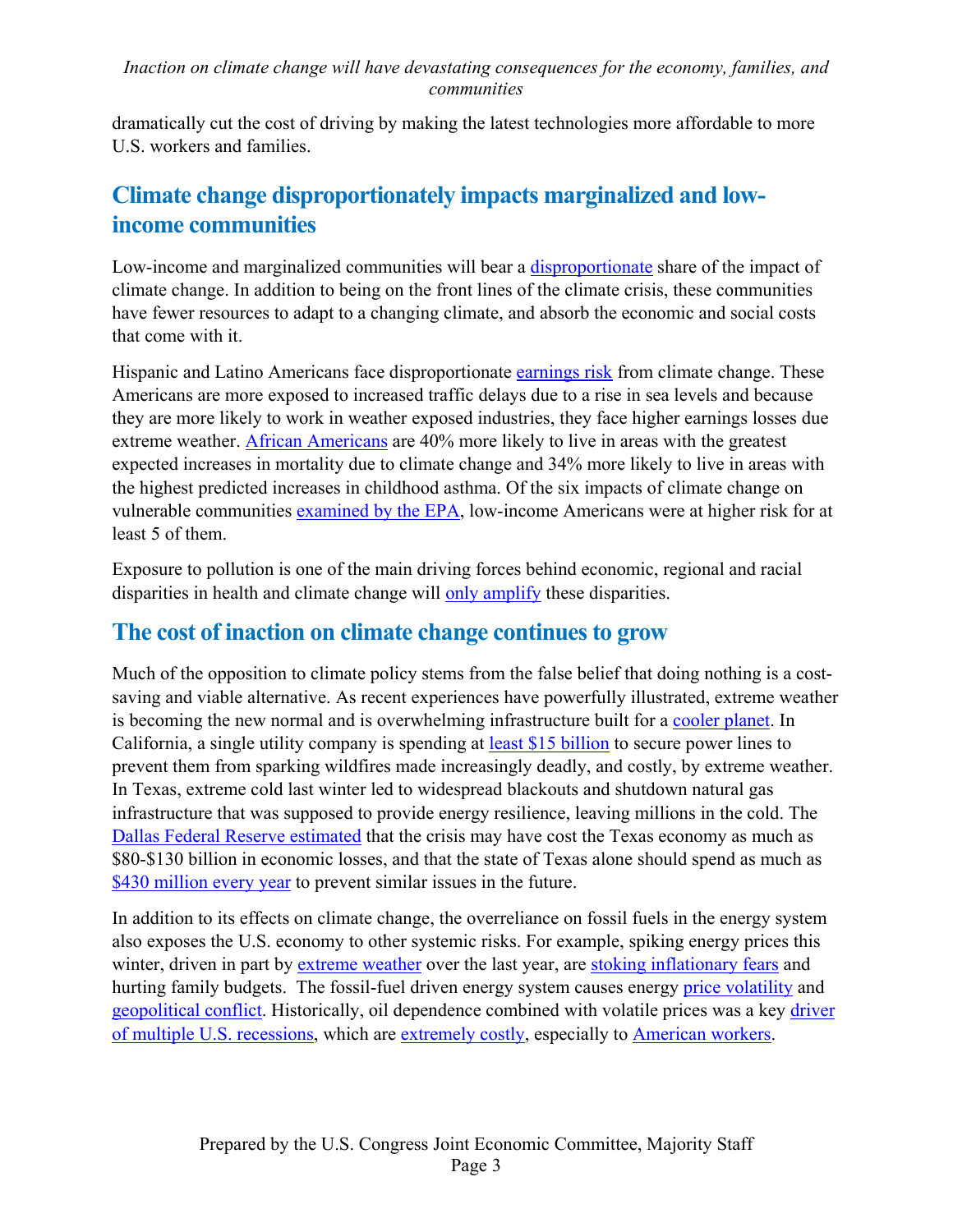dramatically cut the cost of driving by making the latest technologies more affordable to more U.S. workers and families.

# **Climate change disproportionately impacts marginalized and lowincome communities**

Low-income and marginalized communities will bear a [disproportionate](https://www.epa.gov/cira/social-vulnerability-report) share of the impact of climate change. In addition to being on the front lines of the climate crisis, these communities have fewer resources to adapt to a changing climate, and absorb the economic and social costs that come with it.

Hispanic and Latino Americans face disproportionate [earnings risk](https://www.epa.gov/system/files/documents/2021-11/factsheet_hispanic-and-latino.pdf) from climate change. These Americans are more exposed to increased traffic delays due to a rise in sea levels and because they are more likely to work in weather exposed industries, they face higher earnings losses due extreme weather. [African Americans](https://www.epa.gov/system/files/documents/2021-11/factsheet_black-and-african-american.pdf) are 40% more likely to live in areas with the greatest expected increases in mortality due to climate change and 34% more likely to live in areas with the highest predicted increases in childhood asthma. Of the six impacts of climate change on vulnerable communities [examined by the EPA,](https://www.epa.gov/system/files/documents/2021-11/factsheet_low-income.pdf) low-income Americans were at higher risk for at least 5 of them.

Exposure to pollution is one of the main driving forces behind economic, regional and racial disparities in health and climate change will [only amplify](https://www.nrdc.org/media/2021/210520#:%7E:text=Breathing%20in%20that%20air%20pollution,2020%20dollars)%3A%20%24820%20billion.) these disparities.

## **The cost of inaction on climate change continues to grow**

Much of the opposition to climate policy stems from the false belief that doing nothing is a costsaving and viable alternative. As recent experiences have powerfully illustrated, extreme weather is becoming the new normal and is overwhelming infrastructure built for a [cooler planet.](https://www.rand.org/blog/2016/08/infrastructure-design-must-change-with-climate.html) In California, a single utility company is spending at **least \$15 billion** to secure power lines to prevent them from sparking wildfires made increasingly deadly, and costly, by extreme weather. In Texas, extreme cold last winter led to widespread blackouts and shutdown natural gas infrastructure that was supposed to provide energy resilience, leaving millions in the cold. The [Dallas Federal Reserve estimated](https://www.dallasfed.org/research/economics/2021/0415.aspx) that the crisis may have cost the Texas economy as much as \$80-\$130 billion in economic losses, and that the state of Texas alone should spend as much as [\\$430 million every year](https://www.dallasfed.org/research/economics/2021/0415.aspx) to prevent similar issues in the future.

In addition to its effects on climate change, the overreliance on fossil fuels in the energy system also exposes the U.S. economy to other systemic risks. For example, spiking energy prices this winter, driven in part by [extreme weather](https://www.iea.org/reports/gas-market-report-q4-2021) over the last year, are [stoking inflationary fears](https://www.nytimes.com/2021/07/06/business/economy/gas-oil-biden-economy.html) and hurting family budgets. The fossil-fuel driven energy system causes energy [price volatility](https://www.sciencedirect.com/science/article/abs/pii/S1059056021001209) and [geopolitical conflict.](https://www.chathamhouse.org/2019/08/geopolitical-implications-future-oil-demand) Historically, oil dependence combined with volatile prices was a key [driver](https://www.federalreserve.gov/pubs/ifdp/2014/1114/ifdp1114.pdf)  [of multiple U.S. recessions,](https://www.federalreserve.gov/pubs/ifdp/2014/1114/ifdp1114.pdf) which are [extremely costly,](https://www.frbsf.org/economic-research/files/wp2020-11.pdf) especially to [American workers.](https://www.nber.org/papers/w26351)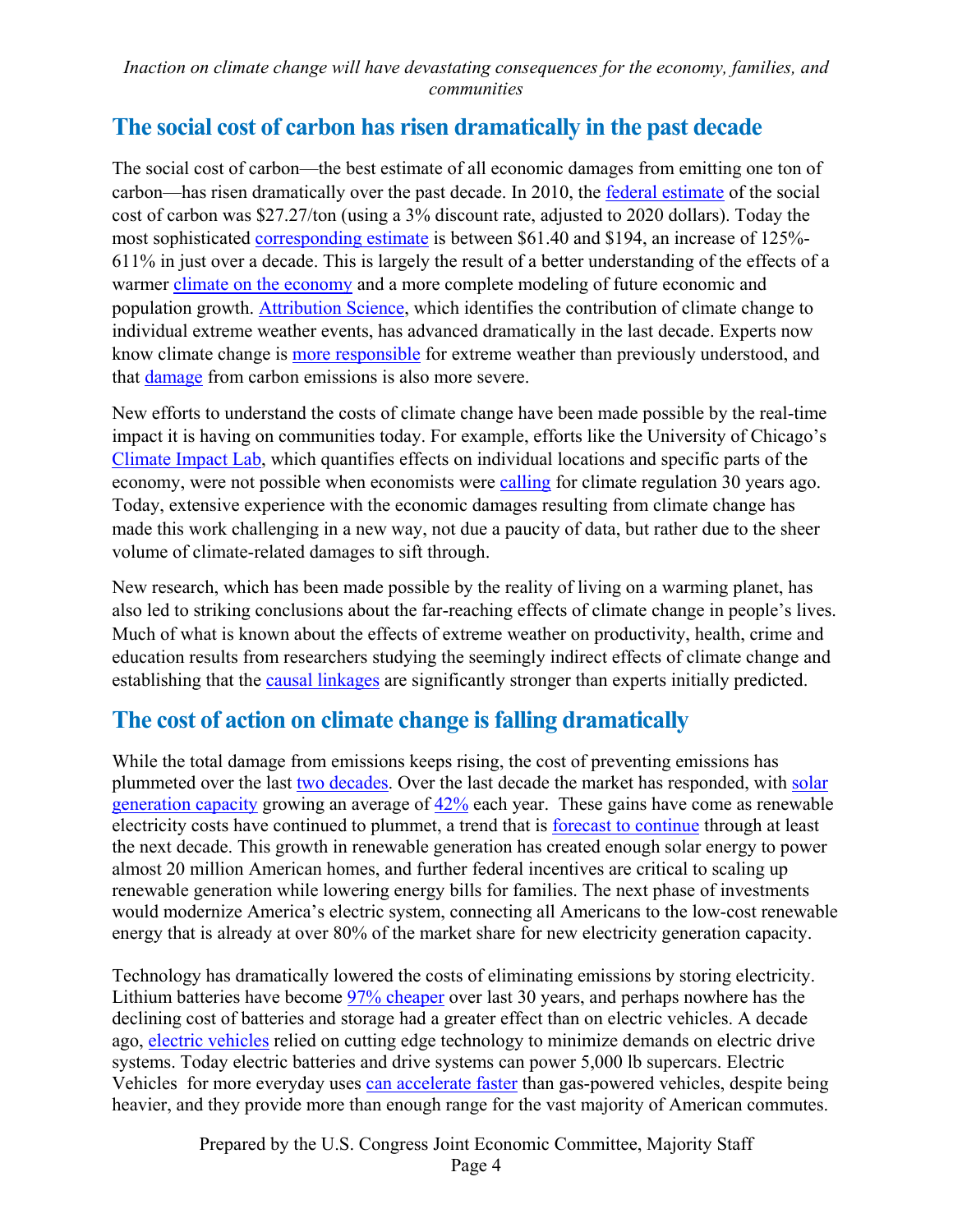## **The social cost of carbon has risen dramatically in the past decade**

The social cost of carbon—the best estimate of all economic damages from emitting one ton of carbon—has risen dramatically over the past decade. In 2010, the [federal estimate](https://www.epa.gov/sites/default/files/2016-12/documents/scc_tsd_2010.pdf) of the social cost of carbon was \$27.27/ton (using a 3% discount rate, adjusted to 2020 dollars). Today the most sophisticated [corresponding estimate](https://media.rff.org/documents/WP_21-28_V2.pdf) is between \$61.40 and \$194, an increase of 125%- 611% in just over a decade. This is largely the result of a better understanding of the effects of a warmer [climate on the economy](https://pubs.aeaweb.org/doi/pdfplus/10.1257/jep.32.4.33) and a more complete modeling of future economic and population growth. [Attribution Science,](https://phys.org/news/2021-10-attribution-science-linking-climate-extreme.html) which identifies the contribution of climate change to [individual extreme weather events,](https://www.ipcc.ch/site/assets/uploads/2018/02/WGIIAR5-Chap18_FINAL.pdf) has advanced dramatically in the last decade. Experts now know climate change is [more responsible](https://phys.org/news/2021-10-attribution-science-linking-climate-extreme.html) for extreme weather than previously understood, and that [damage](https://pubs.aeaweb.org/doi/pdfplus/10.1257/jep.32.4.33) from carbon emissions is also more severe.

New efforts to understand the costs of climate change have been made possible by the real-time impact it is having on communities today. For example, efforts like the University of Chicago's [Climate Impact Lab,](https://impactlab.org/map/#usmeas=change-from-hist&usyear=2040-2059&gmeas=change-from-hist&gyear=2040-2059&usvar=mortality&tab=united-states&gvar=mortality&usrcp=rcp45) which quantifies effects on individual locations and specific parts of the economy, were not possible when economists were [calling](https://mitpress.mit.edu/books/global-warming) for climate regulation 30 years ago. Today, extensive experience with the economic damages resulting from climate change has made this work challenging in a new way, not due a paucity of data, but rather due to the sheer volume of climate-related damages to sift through.

New research, which has been made possible by the reality of living on a warming planet, has also led to striking conclusions about the far-reaching effects of climate change in people's lives. Much of what is known about the effects of extreme weather on productivity, health, crime and education results from researchers studying the seemingly indirect effects of climate change and establishing that the [causal linkages](https://economics.mit.edu/files/9138) are significantly stronger than experts initially predicted.

## **The cost of action on climate change is falling dramatically**

While the total damage from emissions keeps rising, the cost of preventing emissions has plummeted over the last [two decades.](https://www.weforum.org/agenda/2021/10/how-cheap-can-renewable-energy-get/) Over the last decade the market has responded, with [solar](https://www.seia.org/solar-industry-research-data)  [generation capacity](https://www.seia.org/solar-industry-research-data) growing an average of [42%](https://www.seia.org/solar-industry-research-data) each year. These gains have come as renewable electricity costs have continued to plummet, a trend that is [forecast to continue](https://www.nrel.gov/docs/fy20osti/75385.pdf) through at least the next decade. This growth in renewable generation has created enough solar energy to power almost 20 million American homes, and further federal incentives are critical to scaling up renewable generation while lowering energy bills for families. The next phase of investments would modernize America's electric system, connecting all Americans to the low-cost renewable energy that is [already at over 80% o](https://www.eia.gov/todayinenergy/detail.php?id=46416)f the market share for new electricity generation capacity.

Technology has dramatically lowered the costs of eliminating emissions by storing electricity. Lithium batteries have become [97% cheaper](https://ourworldindata.org/battery-price-decline#:%7E:text=The%20price%20of%20lithium%2Dion%20battery%20cells%20declined%20by%2097,halved%20between%202014%20and%202018.) over last 30 years, and perhaps nowhere has the declining cost of batteries and storage had a greater effect than on electric vehicles. A decade ago, [electric vehicles](https://www.caranddriver.com/reviews/a15121146/2011-smart-fortwo-electric-drive-road-test-reviews/) relied on cutting edge technology to minimize demands on electric drive systems. Today electric batteries and drive systems can power [5,000 lb supercars.](https://www.caranddriver.com/porsche/taycan/specs) Electric Vehicles for more everyday uses [can accelerate faster](https://www.edfenergy.com/for-home/energywise/how-do-electric-cars-work) than gas-powered vehicles, despite being heavier, and they provide more than enough range for the vast majority of American commutes.

> Prepared by the U.S. Congress Joint Economic Committee, Majority Staff Page 4